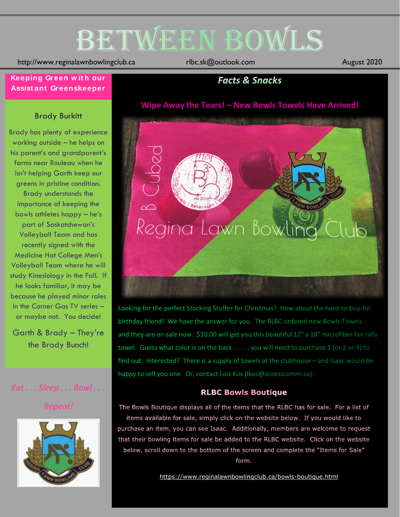# BETWEEN BOWLS

http://www.reginalawnbowlingclub.ca rlbc.sk@outlook.com August 2020

#### **Keeping Green w it h our Assist ant Greenskeeper**

## **Facts & Snacks**

#### **Wipe Away the Tears! – New Bowls Towels Have Arrived!**

#### Brady Burkitt

Brady has plenty of experience working outside – he helps on his parent's and grandparent's farms near Rouleau when he isn't helping Garth keep our greens in pristine condition. Brady understands the importance of keeping the bowls athletes happy – he's part of Saskatchewan's Volleyball Team and has recently signed with the Medicine Hat College Men's Volleyball Team where he will study Kinesiology in the Fall. If he looks familiar, it may be because he played minor roles in the Corner Gas TV series – or maybe not. You decide!

Garth & Brady – They're the Brady Bunch!

### *Eat . . . Sleep . . . Bowl . . .*

*Repeat!*





Looking for the perfect Stocking Stuffer for Christmas? How about the hard-to-buy-for birthday friend! We have the answer for you. The RLBC ordered new Bowls Towels and they are on sale now. \$10.00 will get you this beautiful 12" x 18" microfiber fan rally towel. Guess what color is on the back . . . . . you will need to purchase 1 (or 2 or 3) to find out. Interested? There is a supply of towels at the clubhouse - and Isaac would be happy to sell you one. Or, contact Lois Kos (Ikos@accesscomm.ca).

#### **RLBC Bowls Boutique**

The Bowls Boutique displays all of the items that the RLBC has for sale. For a list of items available for sale, simply click on the website below. If you would like to purchase an item, you can see Isaac. Additionally, members are welcome to request that their bowling items for sale be added to the RLBC website. Click on the website below, scroll down to the bottom of the screen and complete the "Items for Sale" form.

<https://www.reginalawnbowlingclub.ca/bowls-boutique.html>